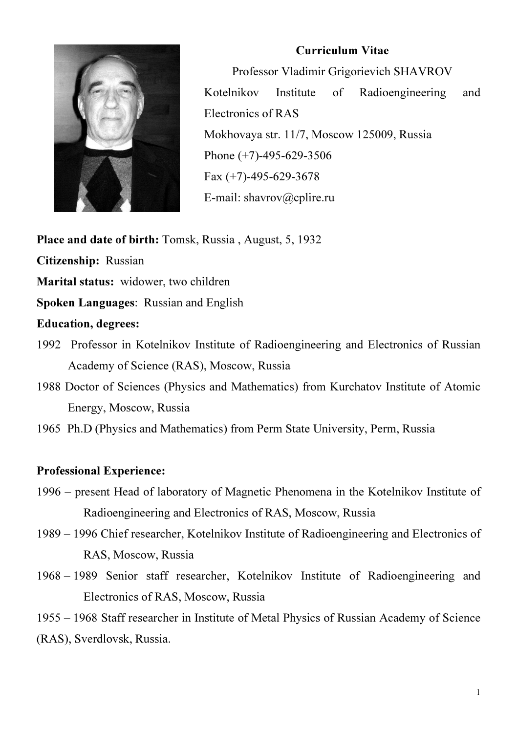

#### Curriculum Vitae

Professor Vladimir Grigorievich SHAVROV Kotelnikov Institute of Radioengineering and Electronics of RAS Mokhovaya str. 11/7, Moscow 125009, Russia Phone (+7)-495-629-3506 Fax  $(+7)$ -495-629-3678 E-mail: shavrov@cplire.ru

Place and date of birth: Tomsk, Russia , August, 5, 1932

Citizenship: Russian

Marital status: widower, two children

Spoken Languages: Russian and English

## Education, degrees:

- 1992 Professor in Kotelnikov Institute of Radioengineering and Electronics of Russian Academy of Science (RAS), Moscow, Russia
- 1988 Doctor of Sciences (Physics and Mathematics) from Kurchatov Institute of Atomic Energy, Moscow, Russia
- 1965 Ph.D (Physics and Mathematics) from Perm State University, Perm, Russia

# Professional Experience:

- 1996 present Head of laboratory of Magnetic Phenomena in the Kotelnikov Institute of Radioengineering and Electronics of RAS, Moscow, Russia
- 1989 1996 Chief researcher, Kotelnikov Institute of Radioengineering and Electronics of RAS, Moscow, Russia
- 1968 1989 Senior staff researcher, Kotelnikov Institute of Radioengineering and Electronics of RAS, Moscow, Russia

1955 – 1968 Staff researcher in Institute of Metal Physics of Russian Academy of Science (RAS), Sverdlovsk, Russia.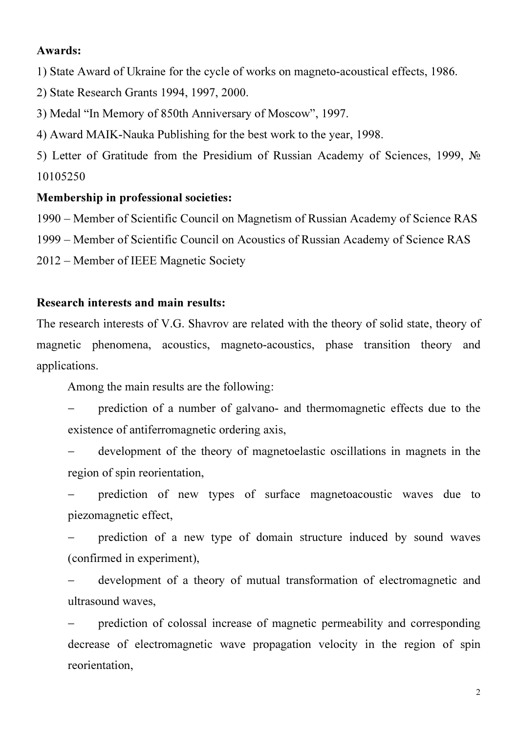#### Awards:

1) State Award of Ukraine for the cycle of works on magneto-acoustical effects, 1986.

- 2) State Research Grants 1994, 1997, 2000.
- 3) Medal "In Memory of 850th Anniversary of Moscow", 1997.
- 4) Award MAIK-Nauka Publishing for the best work to the year, 1998.

5) Letter of Gratitude from the Presidium of Russian Academy of Sciences, 1999, № 10105250

#### Membership in professional societies:

1990 – Member of Scientific Council on Magnetism of Russian Academy of Science RAS

1999 – Member of Scientific Council on Acoustics of Russian Academy of Science RAS

2012 – Member of IEEE Magnetic Society

## Research interests and main results:

The research interests of V.G. Shavrov are related with the theory of solid state, theory of magnetic phenomena, acoustics, magneto-acoustics, phase transition theory and applications.

Among the main results are the following:

prediction of a number of galvano- and thermomagnetic effects due to the existence of antiferromagnetic ordering axis,

− development of the theory of magnetoelastic oscillations in magnets in the region of spin reorientation,

prediction of new types of surface magnetoacoustic waves due to piezomagnetic effect,

prediction of a new type of domain structure induced by sound waves (confirmed in experiment),

development of a theory of mutual transformation of electromagnetic and ultrasound waves,

− prediction of colossal increase of magnetic permeability and corresponding decrease of electromagnetic wave propagation velocity in the region of spin reorientation,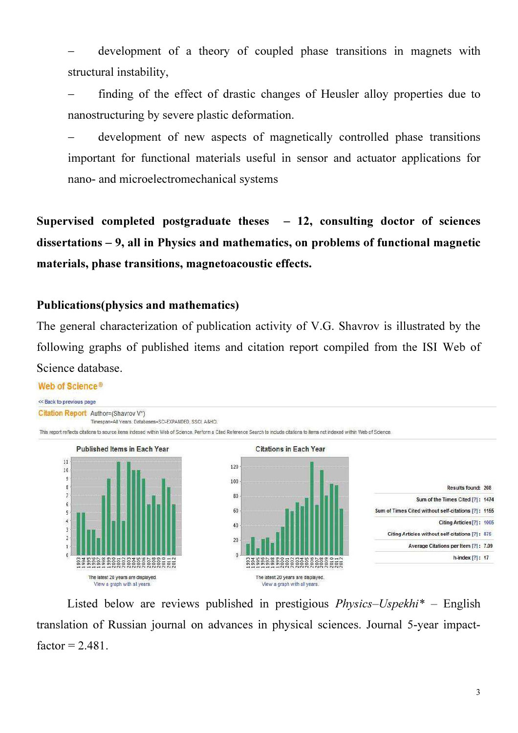development of a theory of coupled phase transitions in magnets with structural instability,

finding of the effect of drastic changes of Heusler alloy properties due to nanostructuring by severe plastic deformation.

development of new aspects of magnetically controlled phase transitions important for functional materials useful in sensor and actuator applications for nano- and microelectromechanical systems

Supervised completed postgraduate theses  $-12$ , consulting doctor of sciences dissertations – 9, all in Physics and mathematics, on problems of functional magnetic materials, phase transitions, magnetoacoustic effects.

## Publications(physics and mathematics)

The general characterization of publication activity of V.G. Shavrov is illustrated by the following graphs of published items and citation report compiled from the ISI Web of Science database.

#### Web of Science<sup>®</sup>



Listed below are reviews published in prestigious  $Phvisics-Uspekhi^*$  – English translation of Russian journal on advances in physical sciences. Journal 5-year impactfactor  $= 2.481$ .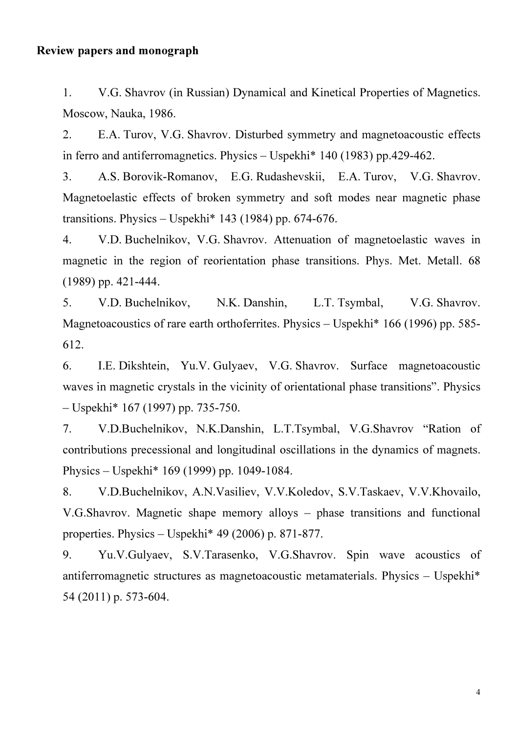#### Review papers and monograph

1. V.G. Shavrov (in Russian) Dynamical and Kinetical Properties of Magnetics. Moscow, Nauka, 1986.

2. E.A. Turov, V.G. Shavrov. Disturbed symmetry and magnetoacoustic effects in ferro and antiferromagnetics. Physics – Uspekhi\* 140 (1983) pp.429-462.

3. A.S. Borovik-Romanov, E.G. Rudashevskii, E.A. Turov, V.G. Shavrov. Magnetoelastic effects of broken symmetry and soft modes near magnetic phase transitions. Physics – Uspekhi $*$  143 (1984) pp. 674-676.

4. V.D. Buchelnikov, V.G. Shavrov. Attenuation of magnetoelastic waves in magnetic in the region of reorientation phase transitions. Phys. Met. Metall. 68 (1989) pp. 421-444.

5. V.D. Buchelnikov, N.K. Danshin, L.T. Tsymbal, V.G. Shavrov. Magnetoacoustics of rare earth orthoferrites. Physics – Uspekhi\* 166 (1996) pp. 585-612.

6. I.E. Dikshtein, Yu.V. Gulyaev, V.G. Shavrov. Surface magnetoacoustic waves in magnetic crystals in the vicinity of orientational phase transitions". Physics – Uspekhi\* 167 (1997) pp. 735-750.

7. V.D.Buchelnikov, N.K.Danshin, L.T.Tsymbal, V.G.Shavrov "Ration of contributions precessional and longitudinal oscillations in the dynamics of magnets. Physics – Uspekhi\* 169 (1999) pp. 1049-1084.

8. V.D.Buchelnikov, A.N.Vasiliev, V.V.Koledov, S.V.Taskaev, V.V.Khovailo, V.G.Shavrov. Magnetic shape memory alloys – phase transitions and functional properties. Physics – Uspekhi\* 49 (2006) p. 871-877.

9. Yu.V.Gulyaev, S.V.Tarasenko, V.G.Shavrov. Spin wave acoustics of antiferromagnetic structures as magnetoacoustic metamaterials. Physics – Uspekhi\* 54 (2011) p. 573-604.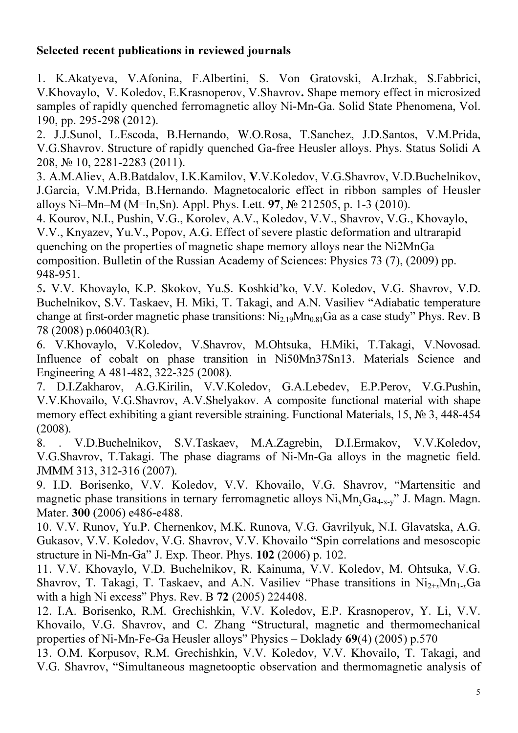# Selected recent publications in reviewed journals

1. K.Akatyeva, V.Afonina, F.Albertini, S. Von Gratovski, A.Irzhak, S.Fabbrici, V.Khovaylo, V. Koledov, E.Krasnoperov, V.Shavrov. Shape memory effect in microsized samples of rapidly quenched ferromagnetic alloy Ni-Mn-Ga. Solid State Phenomena, Vol. 190, pp. 295-298 (2012).

2. J.J.Sunol, L.Escoda, B.Hernando, W.O.Rosa, T.Sanchez, J.D.Santos, V.M.Prida, V.G.Shavrov. Structure of rapidly quenched Ga-free Heusler alloys. Phys. Status Solidi A 208, № 10, 2281-2283 (2011).

3. A.M.Aliev, A.B.Batdalov, I.K.Kamilov, V.V.Koledov, V.G.Shavrov, V.D.Buchelnikov, J.Garcia, V.M.Prida, B.Hernando. Magnetocaloric effect in ribbon samples of Heusler alloys Ni–Mn–M (M=In,Sn). Appl. Phys. Lett. 97, № 212505, p. 1-3 (2010).

4. Kourov, N.I., Pushin, V.G., Korolev, A.V., Koledov, V.V., Shavrov, V.G., Khovaylo, V.V., Knyazev, Yu.V., Popov, A.G. Effect of severe plastic deformation and ultrarapid quenching on the properties of magnetic shape memory alloys near the Ni2MnGa composition. Bulletin of the Russian Academy of Sciences: Physics 73 (7), (2009) pp. 948-951.

5. V.V. Khovaylo, K.P. Skokov, Yu.S. Koshkid'ko, V.V. Koledov, V.G. Shavrov, V.D. Buchelnikov, S.V. Taskaev, H. Miki, T. Takagi, and A.N. Vasiliev "Adiabatic temperature change at first-order magnetic phase transitions:  $Ni<sub>2.19</sub>Mn<sub>0.81</sub>Ga$  as a case study" Phys. Rev. B 78 (2008) p.060403(R).

6. V.Khovaylo, V.Koledov, V.Shavrov, M.Ohtsuka, H.Miki, T.Takagi, V.Novosad. Influence of cobalt on phase transition in Ni50Mn37Sn13. Materials Science and Engineering A 481-482, 322-325 (2008).

7. D.I.Zakharov, A.G.Kirilin, V.V.Koledov, G.A.Lebedev, E.P.Perov, V.G.Pushin, V.V.Khovailo, V.G.Shavrov, A.V.Shelyakov. A composite functional material with shape memory effect exhibiting a giant reversible straining. Functional Materials, 15, № 3, 448-454 (2008).

8. . V.D.Buchelnikov, S.V.Taskaev, M.A.Zagrebin, D.I.Ermakov, V.V.Koledov, V.G.Shavrov, T.Takagi. The phase diagrams of Ni-Mn-Ga alloys in the magnetic field. JMMM 313, 312-316 (2007).

9. I.D. Borisenko, V.V. Koledov, V.V. Khovailo, V.G. Shavrov, "Martensitic and magnetic phase transitions in ternary ferromagnetic alloys  $Ni_xMn_vGa_{4-x-v}$ " J. Magn. Magn. Mater. 300 (2006) e486-e488.

10. V.V. Runov, Yu.P. Chernenkov, M.K. Runova, V.G. Gavrilyuk, N.I. Glavatska, A.G. Gukasov, V.V. Koledov, V.G. Shavrov, V.V. Khovailo "Spin correlations and mesoscopic structure in Ni-Mn-Ga" J. Exp. Theor. Phys. 102 (2006) p. 102.

11. V.V. Khovaylo, V.D. Buchelnikov, R. Kainuma, V.V. Koledov, M. Ohtsuka, V.G. Shavrov, T. Takagi, T. Taskaev, and A.N. Vasiliev "Phase transitions in  $Ni_{2+x}Mn_{1-x}Ga$ with a high Ni excess" Phys. Rev. B 72 (2005) 224408.

12. I.A. Borisenko, R.M. Grechishkin, V.V. Koledov, E.P. Krasnoperov, Y. Li, V.V. Khovailo, V.G. Shavrov, and C. Zhang "Structural, magnetic and thermomechanical properties of Ni-Mn-Fe-Ga Heusler alloys" Physics – Doklady 69(4) (2005) p.570

13. O.M. Korpusov, R.M. Grechishkin, V.V. Koledov, V.V. Khovailo, T. Takagi, and V.G. Shavrov, "Simultaneous magnetooptic observation and thermomagnetic analysis of